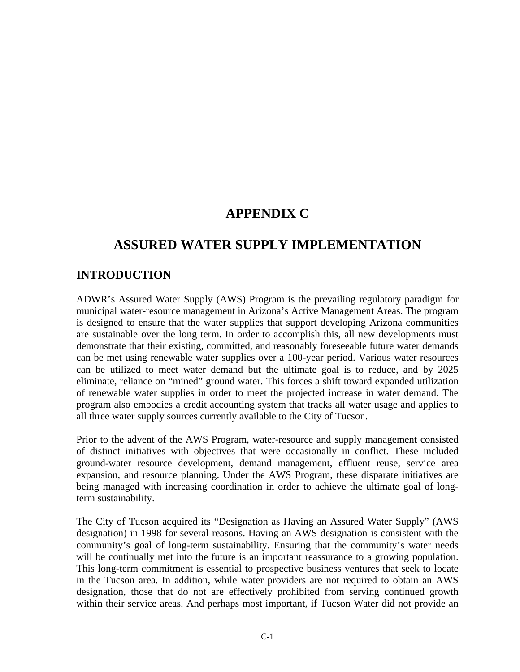# **APPENDIX C**

# **ASSURED WATER SUPPLY IMPLEMENTATION**

## **INTRODUCTION**

ADWR's Assured Water Supply (AWS) Program is the prevailing regulatory paradigm for municipal water-resource management in Arizona's Active Management Areas. The program is designed to ensure that the water supplies that support developing Arizona communities are sustainable over the long term. In order to accomplish this, all new developments must demonstrate that their existing, committed, and reasonably foreseeable future water demands can be met using renewable water supplies over a 100-year period. Various water resources can be utilized to meet water demand but the ultimate goal is to reduce, and by 2025 eliminate, reliance on "mined" ground water. This forces a shift toward expanded utilization of renewable water supplies in order to meet the projected increase in water demand. The program also embodies a credit accounting system that tracks all water usage and applies to all three water supply sources currently available to the City of Tucson.

Prior to the advent of the AWS Program, water-resource and supply management consisted of distinct initiatives with objectives that were occasionally in conflict. These included ground-water resource development, demand management, effluent reuse, service area expansion, and resource planning. Under the AWS Program, these disparate initiatives are being managed with increasing coordination in order to achieve the ultimate goal of longterm sustainability.

The City of Tucson acquired its "Designation as Having an Assured Water Supply" (AWS designation) in 1998 for several reasons. Having an AWS designation is consistent with the community's goal of long-term sustainability. Ensuring that the community's water needs will be continually met into the future is an important reassurance to a growing population. This long-term commitment is essential to prospective business ventures that seek to locate in the Tucson area. In addition, while water providers are not required to obtain an AWS designation, those that do not are effectively prohibited from serving continued growth within their service areas. And perhaps most important, if Tucson Water did not provide an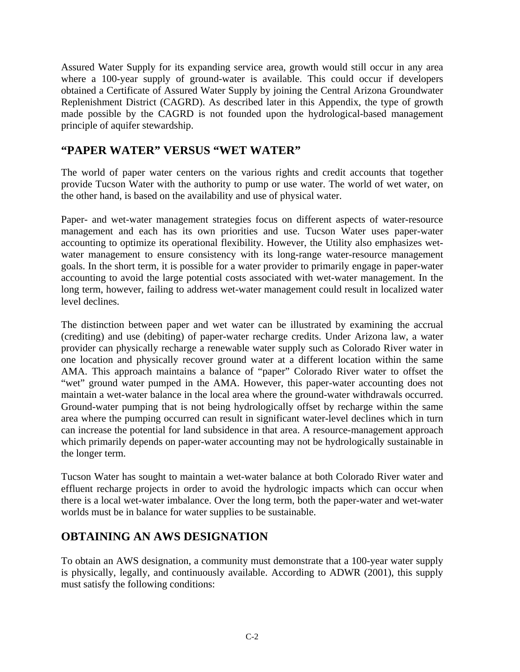Assured Water Supply for its expanding service area, growth would still occur in any area where a 100-year supply of ground-water is available. This could occur if developers obtained a Certificate of Assured Water Supply by joining the Central Arizona Groundwater Replenishment District (CAGRD). As described later in this Appendix, the type of growth made possible by the CAGRD is not founded upon the hydrological-based management principle of aquifer stewardship.

#### **"PAPER WATER" VERSUS "WET WATER"**

The world of paper water centers on the various rights and credit accounts that together provide Tucson Water with the authority to pump or use water. The world of wet water, on the other hand, is based on the availability and use of physical water.

Paper- and wet-water management strategies focus on different aspects of water-resource management and each has its own priorities and use. Tucson Water uses paper-water accounting to optimize its operational flexibility. However, the Utility also emphasizes wetwater management to ensure consistency with its long-range water-resource management goals. In the short term, it is possible for a water provider to primarily engage in paper-water accounting to avoid the large potential costs associated with wet-water management. In the long term, however, failing to address wet-water management could result in localized water level declines.

The distinction between paper and wet water can be illustrated by examining the accrual (crediting) and use (debiting) of paper-water recharge credits. Under Arizona law, a water provider can physically recharge a renewable water supply such as Colorado River water in one location and physically recover ground water at a different location within the same AMA. This approach maintains a balance of "paper" Colorado River water to offset the "wet" ground water pumped in the AMA. However, this paper-water accounting does not maintain a wet-water balance in the local area where the ground-water withdrawals occurred. Ground-water pumping that is not being hydrologically offset by recharge within the same area where the pumping occurred can result in significant water-level declines which in turn can increase the potential for land subsidence in that area. A resource-management approach which primarily depends on paper-water accounting may not be hydrologically sustainable in the longer term.

Tucson Water has sought to maintain a wet-water balance at both Colorado River water and effluent recharge projects in order to avoid the hydrologic impacts which can occur when there is a local wet-water imbalance. Over the long term, both the paper-water and wet-water worlds must be in balance for water supplies to be sustainable.

### **OBTAINING AN AWS DESIGNATION**

To obtain an AWS designation, a community must demonstrate that a 100-year water supply is physically, legally, and continuously available. According to ADWR (2001), this supply must satisfy the following conditions: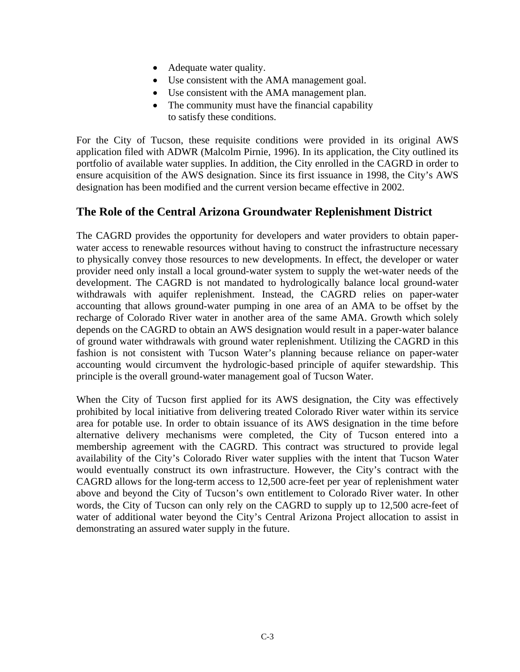- Adequate water quality.
- Use consistent with the AMA management goal.
- Use consistent with the AMA management plan.
- The community must have the financial capability to satisfy these conditions.

For the City of Tucson, these requisite conditions were provided in its original AWS application filed with ADWR (Malcolm Pirnie, 1996). In its application, the City outlined its portfolio of available water supplies. In addition, the City enrolled in the CAGRD in order to ensure acquisition of the AWS designation. Since its first issuance in 1998, the City's AWS designation has been modified and the current version became effective in 2002.

#### **The Role of the Central Arizona Groundwater Replenishment District**

The CAGRD provides the opportunity for developers and water providers to obtain paperwater access to renewable resources without having to construct the infrastructure necessary to physically convey those resources to new developments. In effect, the developer or water provider need only install a local ground-water system to supply the wet-water needs of the development. The CAGRD is not mandated to hydrologically balance local ground-water withdrawals with aquifer replenishment. Instead, the CAGRD relies on paper-water accounting that allows ground-water pumping in one area of an AMA to be offset by the recharge of Colorado River water in another area of the same AMA. Growth which solely depends on the CAGRD to obtain an AWS designation would result in a paper-water balance of ground water withdrawals with ground water replenishment. Utilizing the CAGRD in this fashion is not consistent with Tucson Water's planning because reliance on paper-water accounting would circumvent the hydrologic-based principle of aquifer stewardship. This principle is the overall ground-water management goal of Tucson Water.

When the City of Tucson first applied for its AWS designation, the City was effectively prohibited by local initiative from delivering treated Colorado River water within its service area for potable use. In order to obtain issuance of its AWS designation in the time before alternative delivery mechanisms were completed, the City of Tucson entered into a membership agreement with the CAGRD. This contract was structured to provide legal availability of the City's Colorado River water supplies with the intent that Tucson Water would eventually construct its own infrastructure. However, the City's contract with the CAGRD allows for the long-term access to 12,500 acre-feet per year of replenishment water above and beyond the City of Tucson's own entitlement to Colorado River water. In other words, the City of Tucson can only rely on the CAGRD to supply up to 12,500 acre-feet of water of additional water beyond the City's Central Arizona Project allocation to assist in demonstrating an assured water supply in the future.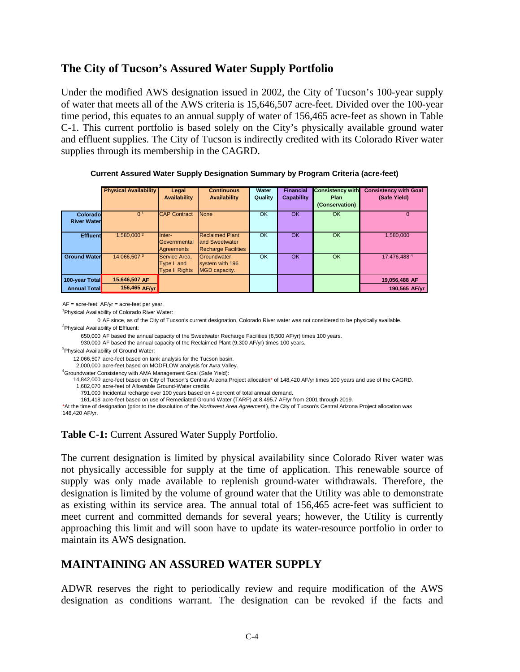#### **The City of Tucson's Assured Water Supply Portfolio**

Under the modified AWS designation issued in 2002, the City of Tucson's 100-year supply of water that meets all of the AWS criteria is 15,646,507 acre-feet. Divided over the 100-year time period, this equates to an annual supply of water of 156,465 acre-feet as shown in Table C-1. This current portfolio is based solely on the City's physically available ground water and effluent supplies. The City of Tucson is indirectly credited with its Colorado River water supplies through its membership in the CAGRD.

|                                 | <b>Physical Availability</b> | Legal<br><b>Availability</b>                          | <b>Continuous</b><br>Availability                                      | Water<br>Quality | <b>Financial</b><br>Capability | <b>Consistency with</b><br><b>Plan</b><br>(Conservation) | <b>Consistency with Goal</b><br>(Safe Yield) |
|---------------------------------|------------------------------|-------------------------------------------------------|------------------------------------------------------------------------|------------------|--------------------------------|----------------------------------------------------------|----------------------------------------------|
| Colorado<br><b>River Waterl</b> | 0 <sup>1</sup>               | <b>CAP Contract</b>                                   | None                                                                   | OK               | OK                             | <b>OK</b>                                                | $\Omega$                                     |
| <b>Effluent</b>                 | 1,580,000 <sup>2</sup>       | Inter-<br>Governmental<br>Agreements                  | <b>Reclaimed Plant</b><br>and Sweetwater<br><b>Recharge Facilities</b> | OK               | OK                             | <b>OK</b>                                                | 1,580,000                                    |
| <b>Ground Water</b>             | 14.066.5073                  | Service Area.<br>Type I, and<br><b>Type II Rights</b> | Groundwater<br>system with 196<br>MGD capacity.                        | OK               | <b>OK</b>                      | <b>OK</b>                                                | 17.476.4884                                  |
| 100-year Total                  | 15,646,507 AF                |                                                       |                                                                        |                  |                                |                                                          | 19,056,488 AF                                |
| <b>Annual Total</b>             | 156,465 AF/vr                |                                                       |                                                                        |                  |                                |                                                          | 190,565 AF/yr                                |

**Current Assured Water Supply Designation Summary by Program Criteria (acre-feet)**

AF = acre-feet; AF/yr = acre-feet per year.

<sup>1</sup> Physical Availability of Colorado River Water:

0 AF since, as of the City of Tucson's current designation, Colorado River water was not considered to be physically available. <sup>2</sup>Physical Availability of Effluent:

650,000 AF based the annual capacity of the Sweetwater Recharge Facilities (6,500 AF/yr) times 100 years.

930,000 AF based the annual capacity of the Reclaimed Plant (9,300 AF/yr) times 100 years.

<sup>3</sup>Physical Availability of Ground Water:

12,066,507 acre-feet based on tank analysis for the Tucson basin.

2,000,000 acre-feet based on MODFLOW analysis for Avra Valley.

14,842,000 acre-feet based on City of Tucson's Central Arizona Project allocation\* of 148,420 AF/yr times 100 years and use of the CAGRD. 1,682,070 acre-feet of Allowable Ground-Water credits. 4 Groundwater Consistency with AMA Management Goal (Safe Yield):

791,000 Incidental recharge over 100 years based on 4 percent of total annual demand.

161,418 acre-feet based on use of Remediated Ground Water (TARP) at 8,495.7 AF/yr from 2001 through 2019.

\*At the time of designation (prior to the dissolution of the *Northwest Area Agreement* ), the City of Tucson's Central Arizona Project allocation was 148,420 AF/yr.

**Table C-1:** Current Assured Water Supply Portfolio.

The current designation is limited by physical availability since Colorado River water was not physically accessible for supply at the time of application. This renewable source of supply was only made available to replenish ground-water withdrawals. Therefore, the designation is limited by the volume of ground water that the Utility was able to demonstrate as existing within its service area. The annual total of 156,465 acre-feet was sufficient to meet current and committed demands for several years; however, the Utility is currently approaching this limit and will soon have to update its water-resource portfolio in order to maintain its AWS designation.

### **MAINTAINING AN ASSURED WATER SUPPLY**

ADWR reserves the right to periodically review and require modification of the AWS designation as conditions warrant. The designation can be revoked if the facts and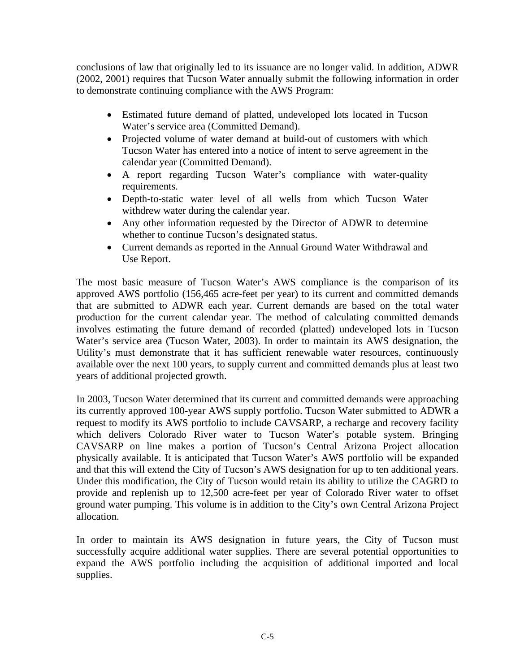conclusions of law that originally led to its issuance are no longer valid. In addition, ADWR (2002, 2001) requires that Tucson Water annually submit the following information in order to demonstrate continuing compliance with the AWS Program:

- Estimated future demand of platted, undeveloped lots located in Tucson Water's service area (Committed Demand).
- Projected volume of water demand at build-out of customers with which Tucson Water has entered into a notice of intent to serve agreement in the calendar year (Committed Demand).
- A report regarding Tucson Water's compliance with water-quality requirements.
- Depth-to-static water level of all wells from which Tucson Water withdrew water during the calendar year.
- Any other information requested by the Director of ADWR to determine whether to continue Tucson's designated status.
- Current demands as reported in the Annual Ground Water Withdrawal and Use Report.

The most basic measure of Tucson Water's AWS compliance is the comparison of its approved AWS portfolio (156,465 acre-feet per year) to its current and committed demands that are submitted to ADWR each year. Current demands are based on the total water production for the current calendar year. The method of calculating committed demands involves estimating the future demand of recorded (platted) undeveloped lots in Tucson Water's service area (Tucson Water, 2003). In order to maintain its AWS designation, the Utility's must demonstrate that it has sufficient renewable water resources, continuously available over the next 100 years, to supply current and committed demands plus at least two years of additional projected growth.

In 2003, Tucson Water determined that its current and committed demands were approaching its currently approved 100-year AWS supply portfolio. Tucson Water submitted to ADWR a request to modify its AWS portfolio to include CAVSARP, a recharge and recovery facility which delivers Colorado River water to Tucson Water's potable system. Bringing CAVSARP on line makes a portion of Tucson's Central Arizona Project allocation physically available. It is anticipated that Tucson Water's AWS portfolio will be expanded and that this will extend the City of Tucson's AWS designation for up to ten additional years. Under this modification, the City of Tucson would retain its ability to utilize the CAGRD to provide and replenish up to 12,500 acre-feet per year of Colorado River water to offset ground water pumping. This volume is in addition to the City's own Central Arizona Project allocation.

In order to maintain its AWS designation in future years, the City of Tucson must successfully acquire additional water supplies. There are several potential opportunities to expand the AWS portfolio including the acquisition of additional imported and local supplies.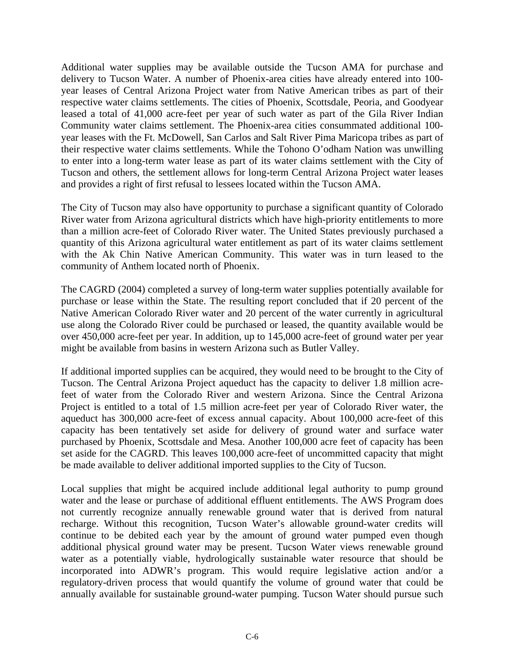Additional water supplies may be available outside the Tucson AMA for purchase and delivery to Tucson Water. A number of Phoenix-area cities have already entered into 100 year leases of Central Arizona Project water from Native American tribes as part of their respective water claims settlements. The cities of Phoenix, Scottsdale, Peoria, and Goodyear leased a total of 41,000 acre-feet per year of such water as part of the Gila River Indian Community water claims settlement. The Phoenix-area cities consummated additional 100 year leases with the Ft. McDowell, San Carlos and Salt River Pima Maricopa tribes as part of their respective water claims settlements. While the Tohono O'odham Nation was unwilling to enter into a long-term water lease as part of its water claims settlement with the City of Tucson and others, the settlement allows for long-term Central Arizona Project water leases and provides a right of first refusal to lessees located within the Tucson AMA.

The City of Tucson may also have opportunity to purchase a significant quantity of Colorado River water from Arizona agricultural districts which have high-priority entitlements to more than a million acre-feet of Colorado River water. The United States previously purchased a quantity of this Arizona agricultural water entitlement as part of its water claims settlement with the Ak Chin Native American Community. This water was in turn leased to the community of Anthem located north of Phoenix.

The CAGRD (2004) completed a survey of long-term water supplies potentially available for purchase or lease within the State. The resulting report concluded that if 20 percent of the Native American Colorado River water and 20 percent of the water currently in agricultural use along the Colorado River could be purchased or leased, the quantity available would be over 450,000 acre-feet per year. In addition, up to 145,000 acre-feet of ground water per year might be available from basins in western Arizona such as Butler Valley.

If additional imported supplies can be acquired, they would need to be brought to the City of Tucson. The Central Arizona Project aqueduct has the capacity to deliver 1.8 million acrefeet of water from the Colorado River and western Arizona. Since the Central Arizona Project is entitled to a total of 1.5 million acre-feet per year of Colorado River water, the aqueduct has 300,000 acre-feet of excess annual capacity. About 100,000 acre-feet of this capacity has been tentatively set aside for delivery of ground water and surface water purchased by Phoenix, Scottsdale and Mesa. Another 100,000 acre feet of capacity has been set aside for the CAGRD. This leaves 100,000 acre-feet of uncommitted capacity that might be made available to deliver additional imported supplies to the City of Tucson.

Local supplies that might be acquired include additional legal authority to pump ground water and the lease or purchase of additional effluent entitlements. The AWS Program does not currently recognize annually renewable ground water that is derived from natural recharge. Without this recognition, Tucson Water's allowable ground-water credits will continue to be debited each year by the amount of ground water pumped even though additional physical ground water may be present. Tucson Water views renewable ground water as a potentially viable, hydrologically sustainable water resource that should be incorporated into ADWR's program. This would require legislative action and/or a regulatory-driven process that would quantify the volume of ground water that could be annually available for sustainable ground-water pumping. Tucson Water should pursue such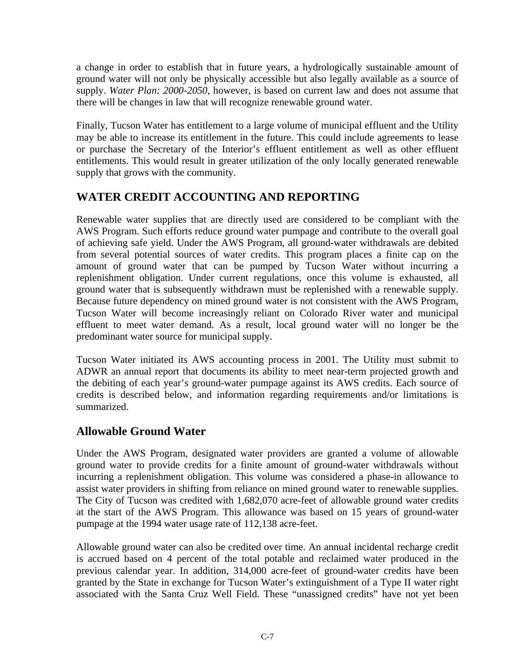a change in order to establish that in future years, a hydrologically sustainable amount of ground water will not only be physically accessible but also legally available as a source of supply. *Water Plan: 2000-2050*, however, is based on current law and does not assume that there will be changes in law that will recognize renewable ground water.

Finally, Tucson Water has entitlement to a large volume of municipal effluent and the Utility may be able to increase its entitlement in the future. This could include agreements to lease or purchase the Secretary of the Interior's effluent entitlement as well as other effluent entitlements. This would result in greater utilization of the only locally generated renewable supply that grows with the community.

# **WATER CREDIT ACCOUNTING AND REPORTING**

Renewable water supplies that are directly used are considered to be compliant with the AWS Program. Such efforts reduce ground water pumpage and contribute to the overall goal of achieving safe yield. Under the AWS Program, all ground-water withdrawals are debited from several potential sources of water credits. This program places a finite cap on the amount of ground water that can be pumped by Tucson Water without incurring a replenishment obligation. Under current regulations, once this volume is exhausted, all ground water that is subsequently withdrawn must be replenished with a renewable supply. Because future dependency on mined ground water is not consistent with the AWS Program, Tucson Water will become increasingly reliant on Colorado River water and municipal effluent to meet water demand. As a result, local ground water will no longer be the predominant water source for municipal supply.

Tucson Water initiated its AWS accounting process in 2001. The Utility must submit to ADWR an annual report that documents its ability to meet near-term projected growth and the debiting of each year's ground-water pumpage against its AWS credits. Each source of credits is described below, and information regarding requirements and/or limitations is summarized.

# **Allowable Ground Water**

Under the AWS Program, designated water providers are granted a volume of allowable ground water to provide credits for a finite amount of ground-water withdrawals without incurring a replenishment obligation. This volume was considered a phase-in allowance to assist water providers in shifting from reliance on mined ground water to renewable supplies. The City of Tucson was credited with 1,682,070 acre-feet of allowable ground water credits at the start of the AWS Program. This allowance was based on 15 years of ground-water pumpage at the 1994 water usage rate of 112,138 acre-feet.

Allowable ground water can also be credited over time. An annual incidental recharge credit is accrued based on 4 percent of the total potable and reclaimed water produced in the previous calendar year. In addition, 314,000 acre-feet of ground-water credits have been granted by the State in exchange for Tucson Water's extinguishment of a Type II water right associated with the Santa Cruz Well Field. These "unassigned credits" have not yet been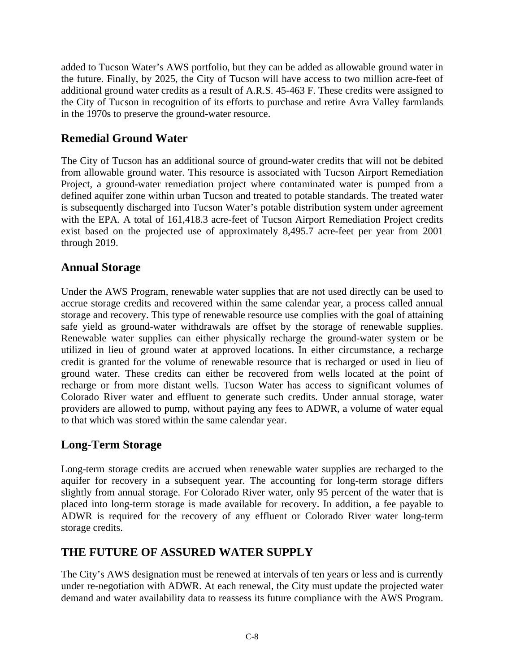added to Tucson Water's AWS portfolio, but they can be added as allowable ground water in the future. Finally, by 2025, the City of Tucson will have access to two million acre-feet of additional ground water credits as a result of A.R.S. 45-463 F. These credits were assigned to the City of Tucson in recognition of its efforts to purchase and retire Avra Valley farmlands in the 1970s to preserve the ground-water resource.

### **Remedial Ground Water**

The City of Tucson has an additional source of ground-water credits that will not be debited from allowable ground water. This resource is associated with Tucson Airport Remediation Project, a ground-water remediation project where contaminated water is pumped from a defined aquifer zone within urban Tucson and treated to potable standards. The treated water is subsequently discharged into Tucson Water's potable distribution system under agreement with the EPA. A total of 161,418.3 acre-feet of Tucson Airport Remediation Project credits exist based on the projected use of approximately 8,495.7 acre-feet per year from 2001 through 2019.

#### **Annual Storage**

Under the AWS Program, renewable water supplies that are not used directly can be used to accrue storage credits and recovered within the same calendar year, a process called annual storage and recovery. This type of renewable resource use complies with the goal of attaining safe yield as ground-water withdrawals are offset by the storage of renewable supplies. Renewable water supplies can either physically recharge the ground-water system or be utilized in lieu of ground water at approved locations. In either circumstance, a recharge credit is granted for the volume of renewable resource that is recharged or used in lieu of ground water. These credits can either be recovered from wells located at the point of recharge or from more distant wells. Tucson Water has access to significant volumes of Colorado River water and effluent to generate such credits. Under annual storage, water providers are allowed to pump, without paying any fees to ADWR, a volume of water equal to that which was stored within the same calendar year.

# **Long-Term Storage**

Long-term storage credits are accrued when renewable water supplies are recharged to the aquifer for recovery in a subsequent year. The accounting for long-term storage differs slightly from annual storage. For Colorado River water, only 95 percent of the water that is placed into long-term storage is made available for recovery. In addition, a fee payable to ADWR is required for the recovery of any effluent or Colorado River water long-term storage credits.

### **THE FUTURE OF ASSURED WATER SUPPLY**

The City's AWS designation must be renewed at intervals of ten years or less and is currently under re-negotiation with ADWR. At each renewal, the City must update the projected water demand and water availability data to reassess its future compliance with the AWS Program.